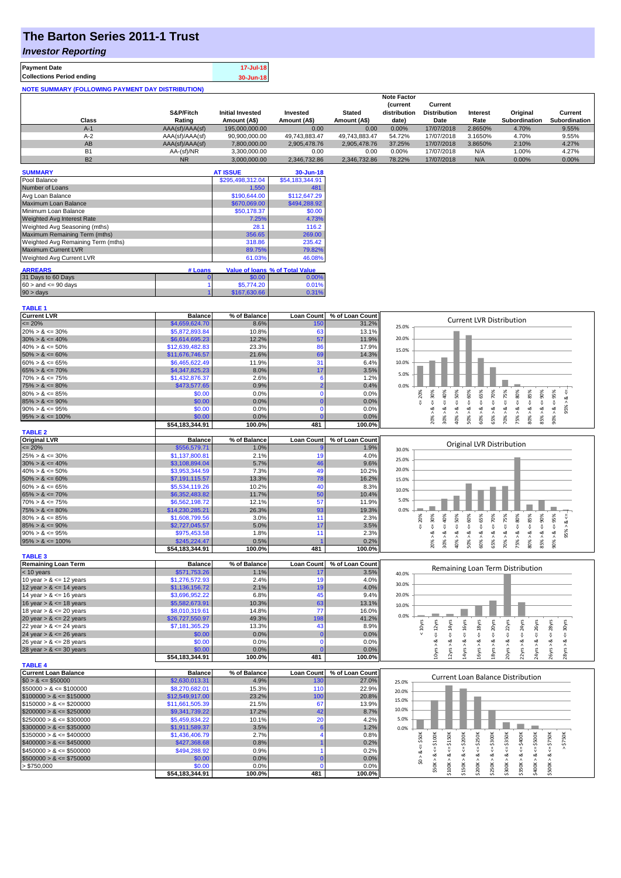# **The Barton Series 2011-1 Trust**

### *Investor Reporting*

**TABLE 1**

| <b>Payment Date</b>                                      | 17-Jul-18 |
|----------------------------------------------------------|-----------|
| <b>Collections Period ending</b>                         | 30-Jun-18 |
| <b>NOTE SUMMARY (FOLLOWING PAYMENT DAY DISTRIBUTION)</b> |           |

|                |                 |                         |               |               | <b>Note Factor</b> |                     |                 |               |               |
|----------------|-----------------|-------------------------|---------------|---------------|--------------------|---------------------|-----------------|---------------|---------------|
|                |                 |                         |               |               | <b>Current</b>     | Current             |                 |               |               |
|                | S&P/Fitch       | <b>Initial Invested</b> | Invested      | <b>Stated</b> | distribution       | <b>Distribution</b> | <b>Interest</b> | Original      | Current       |
| Class          | Rating          | Amount (A\$)            | Amount (A\$)  | Amount (A\$)  | date)              | Date                | Rate            | Subordination | Subordination |
| $A-1$          | AAA(sf)/AAA(sf) | 195,000,000,00          | 0.00          | 0.00          | 0.00%              | 17/07/2018          | 2.8650%         | 4.70%         | 9.55%         |
| $A-2$          | AAA(sf)/AAA(sf) | 90,900,000.00           | 49.743.883.47 | 49.743.883.47 | 54.72%             | 17/07/2018          | 3.1650%         | 4.70%         | 9.55%         |
| AB             | AAA(sf)/AAA(sf) | 7,800,000.00            | 2.905.478.76  | 2.905.478.76  | 37.25%             | 17/07/2018          | 3.8650%         | 2.10%         | 4.27%         |
| B <sub>1</sub> | AA-(sf)/NR      | 3.300.000.00            | 0.00          | 0.00          | $0.00\%$           | 17/07/2018          | N/A             | 1.00%         | 4.27%         |
| <b>B2</b>      | <b>NR</b>       | 3.000.000.00            | 2.346.732.86  | 2.346.732.86  | 78.22%             | 17/07/2018          | N/A             | $0.00\%$      | 0.00%         |

| <b>SUMMARY</b>                     |         | <b>AT ISSUE</b>  | 30-Jun-18                       |
|------------------------------------|---------|------------------|---------------------------------|
| Pool Balance                       |         | \$295,498,312.04 | \$54,183,344.91                 |
| Number of Loans                    |         | 1,550            | 481                             |
| Avg Loan Balance                   |         | \$190,644.00     | \$112,647.29                    |
| Maximum Loan Balance               |         | \$670,069.00     | \$494,288.92                    |
| Minimum Loan Balance               |         | \$50.178.37      | \$0.00                          |
| <b>Weighted Avg Interest Rate</b>  |         | 7.25%            | 4.73%                           |
| Weighted Avg Seasoning (mths)      |         | 28.1             | 116.2                           |
| Maximum Remaining Term (mths)      |         | 356.65           | 269.00                          |
| Weighted Avg Remaining Term (mths) |         | 318.86           | 235.42                          |
| <b>Maximum Current LVR</b>         |         | 89.75%           | 79.82%                          |
| Weighted Avg Current LVR           |         | 61.03%           | 46.08%                          |
| <b>ARREARS</b>                     | # Loans |                  | Value of Ioans % of Total Value |
| 31 Days to 60 Days                 |         |                  |                                 |
|                                    | 0       | \$0.00           | $0.00\%$                        |
| $60 >$ and $\leq 90$ days          |         | \$5,774.20       | 0.01%                           |
| $90 > \text{days}$                 |         | \$167,630.66     | 0.31%                           |

| Current LVR                                                                            | <b>Balance</b>            | % of Balance   | Loan Count        | % of Loan Count | <b>Current LVR Distribution</b>                                                                                                                                                    |
|----------------------------------------------------------------------------------------|---------------------------|----------------|-------------------|-----------------|------------------------------------------------------------------------------------------------------------------------------------------------------------------------------------|
| $= 20%$                                                                                | \$4,659,624.70            | 8.6%           | 150               | 31.2%           | 25.0%                                                                                                                                                                              |
| $20\% > 8 \le 30\%$                                                                    | \$5,872,893.84            | 10.8%          | 63                | 13.1%           |                                                                                                                                                                                    |
| $30\% > 8 \le 40\%$                                                                    | \$6,614,695.23            | 12.2%          | 57                | 11.9%           | 20.0%                                                                                                                                                                              |
| $40\% > 8 \le 50\%$                                                                    | \$12,639,482.83           | 23.3%          | 86                | 17.9%           |                                                                                                                                                                                    |
| $50\% > 8 \le 60\%$                                                                    | \$11,676,746.57           | 21.6%          | 69                | 14.3%           | 15.0%                                                                                                                                                                              |
| $60\% > 8 \le 65\%$                                                                    | \$6,465,622.49            | 11.9%          | 31                | 6.4%            | 10.0%                                                                                                                                                                              |
| $65\% > 8 \le 70\%$                                                                    | \$4,347,825.23            | 8.0%           | 17                | 3.5%            |                                                                                                                                                                                    |
| $70\% > 8 \le 75\%$                                                                    | \$1,432,876.37            | 2.6%           |                   | 1.2%            | 5.0%                                                                                                                                                                               |
| $75\% > 8 \le 80\%$                                                                    | \$473,577.65              | 0.9%           |                   | 0.4%            | 0.0%                                                                                                                                                                               |
| $80\% > 8 \le 85\%$                                                                    | \$0.00                    | 0.0%           |                   | 0.0%            | 75%<br>60%<br>85%<br>20%                                                                                                                                                           |
| $85\% > 8 \le 90\%$                                                                    | \$0.00                    | 0.0%           |                   | 0.0%            | $4 = 70\%$<br>$4 = 30\%$<br>ઌ                                                                                                                                                      |
| $90\% > 8 \le 95\%$                                                                    | \$0.00                    | 0.0%           |                   | 0.0%            | $60\% > 8$ <= $65\%$<br>$30\% > 8 <= 40\%$<br>$40\% > 8 <= 50\%$<br>$75\% > 8 <= 80\%$<br>$90\% > 8 <= 95\%$<br>$85\% > 8 <= 90\%$<br>$<=$<br>$70\% > 8 <$ <=<br>8 < 1             |
| $95\% > 8 \le 100\%$                                                                   | \$0.00                    | 0.0%           |                   | 0.0%            | 65% > 8.<br>20% > 8<br>$50\%$ $>$<br>$80\%$ $>$                                                                                                                                    |
|                                                                                        | \$54,183,344.91           | 100.0%         | 481               | 100.0%          |                                                                                                                                                                                    |
| <b>TABLE 2</b>                                                                         |                           |                |                   |                 |                                                                                                                                                                                    |
| <b>Original LVR</b>                                                                    | <b>Balance</b>            | % of Balance   | <b>Loan Count</b> | % of Loan Count |                                                                                                                                                                                    |
| $= 20%$                                                                                | \$556,579.71              | 1.0%           |                   | 1.9%            | Original LVR Distribution                                                                                                                                                          |
|                                                                                        | \$1,137,800.81            | 2.1%           | 19                | 4.0%            | 30.0%                                                                                                                                                                              |
| $25\% > 8 \le 30\%$                                                                    |                           |                |                   |                 | 25.0%                                                                                                                                                                              |
| $30\% > 8 \le 40\%$                                                                    | \$3,108,894.04            | 5.7%<br>7.3%   | 46                | 9.6%<br>10.2%   | 20.0%                                                                                                                                                                              |
| $40\% > 8 \le 50\%$                                                                    | \$3,953,344.59            |                | 49                |                 |                                                                                                                                                                                    |
| $50\% > 8 \le 60\%$                                                                    | \$7,191,115.57            | 13.3%          | 78                | 16.2%           | 15.0%                                                                                                                                                                              |
| $60\% > 8 \le 65\%$                                                                    | \$5,534,119.26            | 10.2%          | 40                | 8.3%            | 10.0%                                                                                                                                                                              |
| $65\% > 8 \le 70\%$                                                                    | \$6,352,483.82            | 11.7%          | 50                | 10.4%           | 5.0%                                                                                                                                                                               |
| $70\% > 8 \le 75\%$                                                                    | \$6,562,198.72            | 12.1%          | 57                | 11.9%           |                                                                                                                                                                                    |
| $75\% > 8 \le 80\%$                                                                    | \$14,230,285.21           | 26.3%          | 93                | 19.3%           | 0.0%                                                                                                                                                                               |
| $80\% > 8 \le 85\%$                                                                    | \$1,608,799.56            | 3.0%           | 11                | 2.3%            | $4 = 70\%$<br>$4 = 75%$<br>$\leq 80\%$<br>85%<br>$4 = 50\%$<br>$4 = 60\%$<br>$4 = 65\%$<br>$4 = 90\%$<br>95%<br>$4 = 30\%$<br>$40\%$<br>20%<br>$\dot{\infty}$                      |
| $85\% > 8 \le 90\%$                                                                    | \$2,727,045.57            | 5.0%           | 17                | 3.5%            | ₩<br>$\&$ <=                                                                                                                                                                       |
| $90\% > 8 \le 95\%$                                                                    | \$975,453.58              | 1.8%           | 11                | 2.3%            | ಷ<br>ಷ<br>ವ<br>ಷ<br>ಷ<br>ಷ<br>ಷ<br>ø<br>ø<br>ø                                                                                                                                     |
| $95\% > 8 \le 100\%$                                                                   | \$245,224.47              | 0.5%           |                   | 0.2%            | 85%<br>90%<br>20%<br>30% ><br>40% ><br>50% ><br>60% ><br>65%<br>70% ><br>75%<br>$80\%$ $>$                                                                                         |
|                                                                                        | \$54,183,344.91           | 100.0%         | 481               | 100.0%          |                                                                                                                                                                                    |
| <b>TABLE 3</b>                                                                         |                           |                |                   |                 |                                                                                                                                                                                    |
| Remaining Loan Term                                                                    | <b>Balance</b>            | % of Balance   | <b>Loan Count</b> | % of Loan Count |                                                                                                                                                                                    |
| < 10 years                                                                             | \$571,753.26              | 1.1%           | 17                | 3.5%            | Remaining Loan Term Distribution<br>40.0%                                                                                                                                          |
| 10 year $> 8 \le 12$ years                                                             | \$1,276,572.93            | 2.4%           | 19                | 4.0%            |                                                                                                                                                                                    |
| 12 year $> 8 \le 14$ years                                                             | \$1,136,156.72            | 2.1%           | 19                | 4.0%            | 30.0%                                                                                                                                                                              |
| 14 year $> 8 \le 16$ years                                                             | \$3,696,952.22            | 6.8%           | 45                | 9.4%            | 20.0%                                                                                                                                                                              |
| 16 year $> 8 \le 18$ years                                                             | \$5,582,673.91            | 10.3%          | 63                | 13.1%           | 10.0%                                                                                                                                                                              |
| 18 year $> 8 \le 20$ years                                                             | \$8,010,319.61            | 14.8%          | 77                | 16.0%           |                                                                                                                                                                                    |
| 20 year > & <= 22 years                                                                | \$26,727,550.97           | 49.3%          | 198               | 41.2%           | 0.0%                                                                                                                                                                               |
| 22 year > & <= 24 years                                                                | \$7,181,365.29            | 13.3%          | 43                | 8.9%            | 22yrs<br>24yrs<br>$< 10$ yrs                                                                                                                                                       |
| 24 year $> 8 \le 26$ years                                                             | \$0.00                    | 0.0%           | $\Omega$          | 0.0%            | $\leq 16$ yrs<br>$\epsilon$ = 18 $y$ rs<br>$\leq$ 20yrs<br>$\Leftarrow$ 26yrs<br>$\leq$ 28yrs<br>$\epsilon$ = 12 $\gamma$ rs<br>$\leq 14$ yrs<br>$\leq$ 30 $\gamma$ rs<br>IJ,<br>₩ |
| 26 year > & <= 28 years                                                                | \$0.00                    | 0.0%           | $\Omega$          | 0.0%            | ಷ<br>ಹ<br>ಷ<br>œ<br>ಹ<br>ø<br>≪<br>∞<br>∞<br>త                                                                                                                                     |
| 28 year $> 8 \le 30$ years                                                             | \$0.00                    | 0.0%           |                   | 0.0%            | 2yrs<br>14yrs                                                                                                                                                                      |
|                                                                                        | \$54,183,344.91           | 100.0%         | 481               | 100.0%          | 16yrs ><br>18yrs<br>24yrs ><br>26yrs ><br>20yrs ><br>22yrs >                                                                                                                       |
| <b>TABLE 4</b>                                                                         |                           |                |                   |                 |                                                                                                                                                                                    |
| <b>Current Loan Balance</b>                                                            | <b>Balance</b>            | % of Balance   | <b>Loan Count</b> | % of Loan Count |                                                                                                                                                                                    |
| $$0 > 8 \leq $50000$                                                                   | \$2,630,013.31            | 4.9%           | 130               | 27.0%           | <b>Current Loan Balance Distribution</b><br>25.0%                                                                                                                                  |
| $$50000 > 8 \le $100000$                                                               |                           |                |                   |                 |                                                                                                                                                                                    |
|                                                                                        |                           |                |                   |                 |                                                                                                                                                                                    |
|                                                                                        | \$8,270,682.01            | 15.3%          | 110               | 22.9%           | 20.0%                                                                                                                                                                              |
| $$100000 > 8 \le $150000$                                                              | \$12,549,917.00           | 23.2%          | 100               | 20.8%           | 15.0%                                                                                                                                                                              |
|                                                                                        | \$11,661,505.39           | 21.5%          | 67                | 13.9%           |                                                                                                                                                                                    |
| $$150000 > 8 \leq $200000$<br>$$200000 > 8 \leq $250000$                               | \$9,341,739.22            | 17.2%          | 42                | 8.7%            | 10.0%                                                                                                                                                                              |
| $$250000 > 8 \leq $300000$                                                             | \$5,459,834.22            | 10.1%          | 20                | 4.2%            | 5.0%                                                                                                                                                                               |
|                                                                                        | \$1,911,589.37            | 3.5%           |                   | 1.2%            | 0.0%                                                                                                                                                                               |
|                                                                                        | \$1,436,406.79            | 2.7%           |                   | 0.8%            |                                                                                                                                                                                    |
| $$300000 > 8 \leq $350000$<br>$$350000 > 8 \leq $400000$<br>$$400000 > 8 \leq $450000$ | \$427,368.68              | 0.8%           |                   | 0.2%            | \$50K<br>\$750K<br>\$200K<br>\$300K<br>\$350K                                                                                                                                      |
|                                                                                        | \$494,288.92              | 0.9%           |                   | 0.2%            | $4 = $250K$<br>$4 = $750K$<br>₩<br>$\stackrel{\scriptscriptstyle{0}}{\mathsf{v}}$                                                                                                  |
| $$450000 > 8 \le $500000$<br>$$500000 > 8 \le $750000$                                 | \$0.00                    | 0.0%           |                   | 0.0%            | ઌ<br>ಷ                                                                                                                                                                             |
| > \$750,000                                                                            | \$0.00<br>\$54,183,344.91 | 0.0%<br>100.0% | 481               | 0.0%<br>100.0%  | $$50K > 8 <= $100K$<br>$$100K > 8 <= $150K$<br>$$350K > 8 <= $400K$<br>$$400K > 8 <= $500K$<br>$$150K > <=$<br>\$0 > 8.<br>\$200K > 8<br>\$500K > 8<br>\$250K><br>\$300K>          |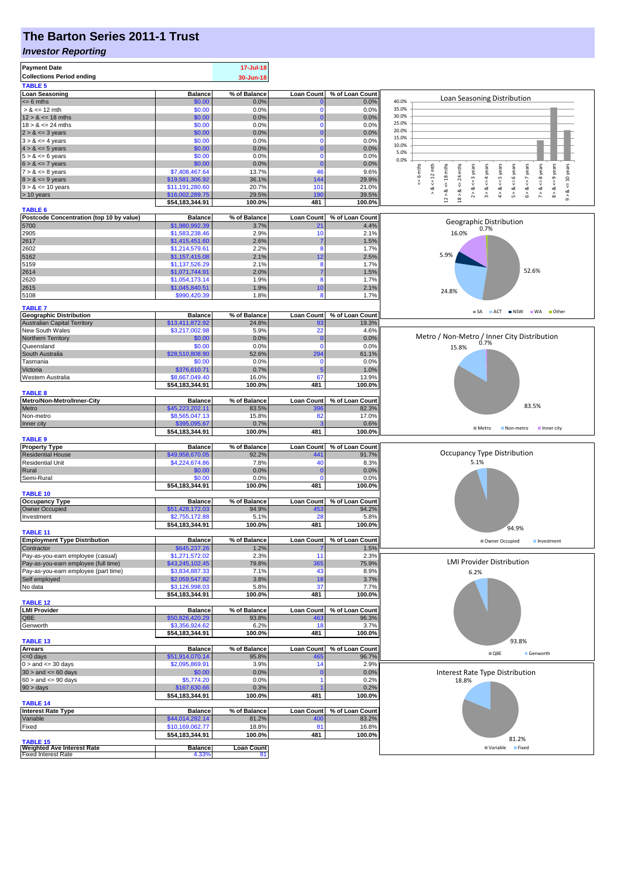# **The Barton Series 2011-1 Trust**

#### *Investor Reporting*

| <b>Payment Date</b>                                                       |                                    | 17-Jul-18             |                          |                          |                                                                                                                                                                     |
|---------------------------------------------------------------------------|------------------------------------|-----------------------|--------------------------|--------------------------|---------------------------------------------------------------------------------------------------------------------------------------------------------------------|
| <b>Collections Period ending</b>                                          |                                    | 30-Jun-18             |                          |                          |                                                                                                                                                                     |
| <b>TABLE 5</b>                                                            |                                    |                       |                          |                          |                                                                                                                                                                     |
| <b>Loan Seasoning</b>                                                     | <b>Balance</b>                     | % of Balance          | <b>Loan Count</b>        | % of Loan Count          | Loan Seasoning Distribution                                                                                                                                         |
| $= 6$ mths<br>$> 8 \le 12$ mth                                            | \$0.00<br>\$0.00                   | 0.0%<br>0.0%          | $\mathbf 0$              | 0.0%<br>0.0%             | 40.0%<br>35.0%                                                                                                                                                      |
| $12 > 8 \le 18$ mths                                                      | \$0.00                             | 0.0%                  | $\mathbf 0$              | 0.0%                     | 30.0%                                                                                                                                                               |
| $18 > 8 \le 24$ mths                                                      | \$0.00                             | 0.0%                  | $\Omega$                 | 0.0%                     | 25.0%                                                                                                                                                               |
| $2 > 8 \le 3$ years                                                       | \$0.00                             | 0.0%                  |                          | 0.0%                     | 20.0%<br>15.0%                                                                                                                                                      |
| $3 > 8 \le 4$ years                                                       | \$0.00<br>\$0.00                   | 0.0%<br>0.0%          | 0<br>$\Omega$            | 0.0%<br>0.0%             | 10.0%                                                                                                                                                               |
| $4 > 8 \le 5$ years<br>$5 > 8 \le 6$ years                                | \$0.00                             | 0.0%                  | $\Omega$                 | 0.0%                     | 5.0%                                                                                                                                                                |
| $6 > 8 \le 7$ years                                                       | \$0.00                             | 0.0%                  | $\Omega$                 | 0.0%                     | 0.0%                                                                                                                                                                |
| $7 > 8 \le 8$ years                                                       | \$7,408,467.64                     | 13.7%                 | 46                       | 9.6%                     | <= 10 years<br>6 mths<br>$> 8$ <= 12 mth<br>$\leq$ 18 mths<br>24 mths<br>$<=$ 3 years<br>& $<-7$ years<br>$<=5$ years                                               |
| $8 > 8 \le 9$ years                                                       | \$19,581,306.92                    | 36.1%                 | 144                      | 29.9%                    | $\stackrel{\scriptscriptstyle \text{II}}{\mathsf{v}}$                                                                                                               |
| $9 > 8 \le 10$ years<br>$> 10$ years                                      | \$11,191,280.60<br>\$16,002,289.75 | 20.7%<br>29.5%        | 101<br>190               | 21.0%<br>39.5%           | $7 > 8 <$ = 8 years<br>$8 > 8 < = 9$ years<br>$3 > 8$ <= 4 years<br>$5 > 8 < 6$ years<br>$12 > 8$<br>$18 > 8$<br>$9 - 8$<br>$\hat{\circ}$<br>$\hat{z}$<br>$\hat{4}$ |
|                                                                           | \$54,183,344.91                    | 100.0%                | 481                      | 100.0%                   |                                                                                                                                                                     |
| <b>TABLE 6</b>                                                            |                                    |                       |                          |                          |                                                                                                                                                                     |
| Postcode Concentration (top 10 by value)<br>5700                          | <b>Balance</b><br>\$1,980,992.39   | % of Balance<br>3.7%  | <b>Loan Count</b><br>21  | % of Loan Count<br>4.4%  | Geographic Distribution                                                                                                                                             |
| 2905                                                                      | \$1,583,238.46                     | 2.9%                  | 10                       | 2.1%                     | 0.7%<br>16.0%                                                                                                                                                       |
| 2617                                                                      | \$1,415,451.60                     | 2.6%                  |                          | 1.5%                     |                                                                                                                                                                     |
| 2602                                                                      | \$1,214,579.61                     | 2.2%                  | 8                        | 1.7%                     | 5.9%                                                                                                                                                                |
| 5162<br>5159                                                              | \$1,157,415.08<br>\$1,137,526.29   | 2.1%<br>2.1%          | 12<br>8                  | 2.5%<br>1.7%             |                                                                                                                                                                     |
| 2614                                                                      | \$1,071,744.91                     | 2.0%                  |                          | 1.5%                     | 52.6%                                                                                                                                                               |
| 2620                                                                      | \$1,054,173.14                     | 1.9%                  | 8                        | 1.7%                     |                                                                                                                                                                     |
| 2615                                                                      | \$1,045,840.51                     | 1.9%                  | 10                       | 2.1%                     | 24.8%                                                                                                                                                               |
| 5108                                                                      | \$990,420.39                       | 1.8%                  | 8                        | 1.7%                     |                                                                                                                                                                     |
| <b>TABLE 7</b>                                                            |                                    |                       |                          |                          | ACT NSW WA Other<br>$\blacksquare$ SA                                                                                                                               |
| <b>Geographic Distribution</b>                                            | <b>Balance</b>                     | % of Balance          | Loan Count               | % of Loan Count          |                                                                                                                                                                     |
| <b>Australian Capital Territory</b><br>New South Wales                    | \$13,411,872.92<br>\$3,217,002.98  | 24.8%<br>5.9%         | 93<br>22                 | 19.3%<br>4.6%            |                                                                                                                                                                     |
| Northern Territory                                                        | \$0.00                             | 0.0%                  | 0                        | 0.0%                     | Metro / Non-Metro / Inner City Distribution                                                                                                                         |
| Queensland                                                                | \$0.00                             | 0.0%                  | $\mathbf 0$              | 0.0%                     | 0.7%<br>15.8%                                                                                                                                                       |
| South Australia                                                           | \$28,510,808.90                    | 52.6%                 | 294                      | 61.1%                    |                                                                                                                                                                     |
| Tasmania<br>Victoria                                                      | \$0.00<br>\$376,610.71             | 0.0%<br>0.7%          | $\Omega$<br>-5           | 0.0%<br>1.0%             |                                                                                                                                                                     |
| Western Australia                                                         | \$8,667,049.40                     | 16.0%                 | 67                       | 13.9%                    |                                                                                                                                                                     |
|                                                                           | \$54,183,344.91                    | 100.0%                | 481                      | 100.0%                   |                                                                                                                                                                     |
| <b>TABLE 8</b>                                                            |                                    |                       |                          |                          |                                                                                                                                                                     |
| Metro/Non-Metro/Inner-City<br>Metro                                       | <b>Balance</b><br>\$45,223,202.11  | % of Balance<br>83.5% | <b>Loan Count</b><br>396 | % of Loan Count<br>82.3% | 83.5%                                                                                                                                                               |
| Non-metro                                                                 | \$8,565,047.13                     | 15.8%                 | 82                       | 17.0%                    |                                                                                                                                                                     |
| Inner city                                                                | \$395,095.67                       | 0.7%                  |                          | 0.6%                     | ■ Metro<br>Non-metro Inner city                                                                                                                                     |
|                                                                           | \$54,183,344.91                    | 100.0%                | 481                      | 100.0%                   |                                                                                                                                                                     |
| <b>TABLE 9</b><br><b>Property Type</b>                                    | <b>Balance</b>                     | % of Balance          | <b>Loan Count</b>        | % of Loan Count          |                                                                                                                                                                     |
| <b>Residential House</b>                                                  | \$49,958,670.05                    | 92.2%                 | 441                      | 91.7%                    | <b>Occupancy Type Distribution</b>                                                                                                                                  |
| <b>Residential Unit</b>                                                   | \$4,224,674.86                     | 7.8%                  | 40                       | 8.3%                     | 5.1%                                                                                                                                                                |
| Rural                                                                     | \$0.00                             | 0.0%                  | 0                        | 0.0%                     |                                                                                                                                                                     |
| Semi-Rural                                                                | \$0.00<br>\$54,183,344.91          | 0.0%<br>100.0%        | $\Omega$<br>481          | 0.0%<br>100.0%           |                                                                                                                                                                     |
| <b>TABLE 10</b>                                                           |                                    |                       |                          |                          |                                                                                                                                                                     |
| <b>Occupancy Type</b>                                                     | <b>Balance</b>                     | % of Balance          | Loan Count               | % of Loan Count          |                                                                                                                                                                     |
| Owner Occupied                                                            | \$51,428,172.03                    | 94.9%                 | 453                      | 94.2%                    |                                                                                                                                                                     |
| Investment                                                                | \$2,755,172.88<br>\$54,183,344.91  | 5.1%<br>100.0%        | 28<br>481                | 5.8%<br>100.0%           |                                                                                                                                                                     |
| <b>TABLE 11</b>                                                           |                                    |                       |                          |                          | 94.9%                                                                                                                                                               |
| <b>Employment Type Distribution</b>                                       | <b>Balance</b>                     | % of Balance          | <b>Loan Count</b>        | % of Loan Count          | Owner Occupied<br>Investment                                                                                                                                        |
| Contractor                                                                | \$645,237.26                       | 1.2%                  |                          | 1.5%                     |                                                                                                                                                                     |
| Pay-as-you-earn employee (casual)<br>Pay-as-you-earn employee (full time) | \$1,271,572.02<br>\$43,245,102.45  | 2.3%<br>79.8%         | 11<br>365                | 2.3%<br>75.9%            | <b>LMI Provider Distribution</b>                                                                                                                                    |
| Pay-as-you-earn employee (part time)                                      | \$3,834,887.33                     | 7.1%                  | 43                       | 8.9%                     | 6.2%                                                                                                                                                                |
| Self employed                                                             | \$2,059,547.82                     | 3.8%                  | 18                       | 3.7%                     |                                                                                                                                                                     |
| No data                                                                   | \$3,126,998.03                     | 5.8%                  | 37                       | 7.7%                     |                                                                                                                                                                     |
| <b>TABLE 12</b>                                                           | \$54,183,344.91                    | 100.0%                | 481                      | 100.0%                   |                                                                                                                                                                     |
| <b>LMI Provider</b>                                                       | <b>Balance</b>                     | % of Balance          | <b>Loan Count</b>        | % of Loan Count          |                                                                                                                                                                     |
| QBE                                                                       | \$50,826,420.29                    | 93.8%                 | 463                      | 96.3%                    |                                                                                                                                                                     |
| Genworth                                                                  | \$3,356,924.62                     | 6.2%                  | 18                       | 3.7%                     |                                                                                                                                                                     |
| <b>TABLE 13</b>                                                           | \$54,183,344.91                    | 100.0%                | 481                      | 100.0%                   | 93.8%                                                                                                                                                               |
| <b>Arrears</b>                                                            | <b>Balance</b>                     | % of Balance          | Loan Count               | % of Loan Count          |                                                                                                                                                                     |
| <= 0 days                                                                 | \$51,914,070.14                    | 95.8%                 | 46                       | 96.7%                    | $\blacksquare$ QBE<br>Genworth                                                                                                                                      |
| $0 >$ and $\leq 30$ days                                                  | \$2,095,869.91                     | 3.9%                  | 14                       | 2.9%                     |                                                                                                                                                                     |
| $30 >$ and $\leq 60$ days<br>$60 >$ and $\leq 90$ days                    | \$0.00<br>\$5,774.20               | 0.0%<br>0.0%          | 0                        | 0.0%<br>0.2%             | Interest Rate Type Distribution                                                                                                                                     |
| $90 > \text{days}$                                                        | \$167,630.66                       | 0.3%                  |                          | 0.2%                     | 18.8%                                                                                                                                                               |
|                                                                           | \$54,183,344.91                    | 100.0%                | 481                      | 100.0%                   |                                                                                                                                                                     |
| <b>TABLE 14</b>                                                           |                                    |                       |                          |                          |                                                                                                                                                                     |
| <b>Interest Rate Type</b>                                                 | <b>Balance</b><br>\$44,014,282.14  | % of Balance<br>81.2% | Loan Count<br>400        | % of Loan Count<br>83.2% |                                                                                                                                                                     |
| Variable<br>Fixed                                                         | \$10,169,062.77                    | 18.8%                 | 81                       | 16.8%                    |                                                                                                                                                                     |
|                                                                           | \$54,183,344.91                    | 100.0%                | 481                      | 100.0%                   |                                                                                                                                                                     |
| <b>TABLE 15</b>                                                           |                                    |                       |                          |                          | 81.2%                                                                                                                                                               |
| <b>Weighted Ave Interest Rate</b><br><b>Fixed Interest Rate</b>           | <b>Balance</b><br>4.33%            | <b>Loan Count</b>     |                          |                          | Variable Fixed                                                                                                                                                      |